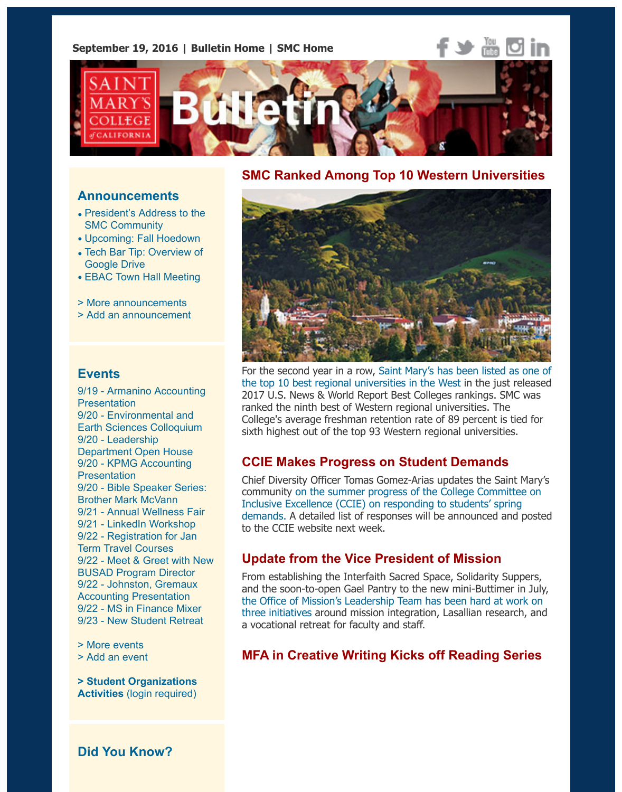

#### **Announcements**

- President's Address to the SMC Community
- Upcoming: Fall Hoedown
- Tech Bar Tip: Overview of Google Drive
- EBAC Town Hall Meeting
- > More announcements
- > [Add an announcement](http://www.stmarys-ca.edu/president%E2%80%99s-address-to-the-smc-community?utm_source=Bulletin&utm_medium=email&utm_content=announcement_test&utm_campaign=09-19-2016)

#### **[Events](http://www.stmarys-ca.edu/tech-bar-tip-overview-of-google-drive-1?utm_source=Bulletin&utm_medium=email&utm_content=announcement_test&utm_campaign=09-19-2016)**

9[/19 - Armanino Accounting](http://www.stmarys-ca.edu/ebac-town-hall-meeting-0?utm_source=Bulletin&utm_medium=email&utm_content=announcement_test&utm_campaign=09-19-2016) **Presentation** 9/20 [- Environmental an](http://www.stmarys-ca.edu/smc-bulletin/announcements?utm_source=Bulletin&utm_medium=email&utm_content=announcement_test&utm_campaign=09-19-2016)d [Earth Sciences Colloquiu](http://www.stmarys-ca.edu/node/add/announcement?utm_source=Bulletin&utm_medium=email&utm_content=announcement_test&utm_campaign=09-19-2016)m 9/20 - Leadership Department Open House 9/20 - KPMG Accounting **Presentation** 9/20 - Bible Speaker Series: Brother Mark McVann [9/21 - Annual Wellness Fair](http://www.stmarys-ca.edu/armanino-accounting-presentation?utm_source=Bulletin&utm_medium=email&utm_content=event_test&utm_campaign=09-19-2016) [9/21 - LinkedIn Workshop](http://www.stmarys-ca.edu/environmental-and-earth-sciences-fall-2016-colloquium?utm_source=Bulletin&utm_medium=email&utm_content=event_test&utm_campaign=09-19-2016) 9/22 - Registration for Jan Term Travel Courses [9/22 - Meet & Greet with N](http://www.stmarys-ca.edu/leadership-department-open-house-september-20-2016?utm_source=Bulletin&utm_medium=email&utm_content=event_test&utm_campaign=09-19-2016)ew [BUSAD Program Director](http://www.stmarys-ca.edu/kpmg-accounting-presentation?utm_source=Bulletin&utm_medium=email&utm_content=event_test&utm_campaign=09-19-2016) 9/22 - Johnston, Gremaux Accounting Presentation [9/22 - MS in Finance Mixer](http://www.stmarys-ca.edu/bible-speaker-series-brother-mark-mcvann-on-the-creation-stories?utm_source=Bulletin&utm_medium=email&utm_content=event_test&utm_campaign=09-19-2016) 9/23 - [New Student Retreat](http://www.stmarys-ca.edu/annual-wellness-fair?utm_source=Bulletin&utm_medium=email&utm_content=event_test&utm_campaign=09-19-2016)

> More events [> Add an event](http://www.stmarys-ca.edu/registration-for-january-2017-term-travel-courses?utm_source=Bulletin&utm_medium=email&utm_content=event_test&utm_campaign=09-19-2016)

**[> Student Organizations](http://www.stmarys-ca.edu/meet-greet-with-mary-alice-mcneil-the-new-busad-program-director?utm_source=Bulletin&utm_medium=email&utm_content=event_test&utm_campaign=09-19-2016) Activities** [\(login required\)](http://www.stmarys-ca.edu/johnston-gremaux-rossi-accounting-presentation?utm_source=Bulletin&utm_medium=email&utm_content=event_test&utm_campaign=09-19-2016)

## **SMC Ranked Among Top 10 Western Universit**



For the second year in a row, Saint Mary's has been listed as o the top 10 best regional universities in the West in the just rele 2017 U.S. News & World Report Best Colleges rankings. SMC w ranked the ninth best of Western regional universities. The College's average freshman retention rate of 89 percent is tied sixth highest out of the top 93 Western regional universities.

## **CCIE Makes Progress on Student Demands**

Chief Diversity Officer Tomas Gomez-Arias updates the Saint M community on the summer progress of the College Committee Inclusive Excellence (CCIE) on responding to students' spring demands. A detailed list of responses will be announced and posted to the CCIE website next week.

## **Update from the Vice President of Mission**

From establishing the Interfaith Sacred Space, Solidarity Supper and the soon-to-open Gael Pantry to the new mini-Buttimer in the Office of Mission's Leadership Team has been hard at work three initiatives around mission integration, Lasallian research, a vocational retreat for faculty and staff.

## **MFA in Creative Writing Kicks off Reading Seri**

**[Did You Kn](http://www.stmarys-ca.edu/events?utm_source=Bulletin&utm_medium=email&utm_content=event_test&utm_campaign=09-19-2016)ow?**